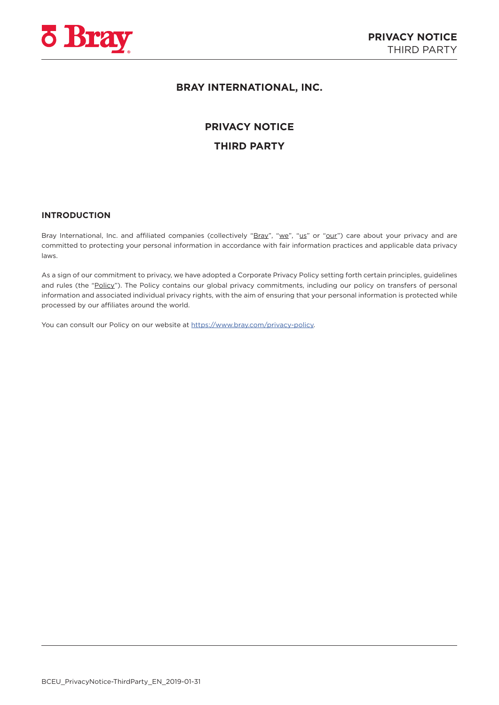

# **BRAY INTERNATIONAL, INC.**

# **PRIVACY NOTICE**

# **THIRD PARTY**

# **INTRODUCTION**

Bray International, Inc. and affiliated companies (collectively "Bray", "we", "us" or "our") care about your privacy and are committed to protecting your personal information in accordance with fair information practices and applicable data privacy laws.

As a sign of our commitment to privacy, we have adopted a Corporate Privacy Policy setting forth certain principles, guidelines and rules (the "Policy"). The Policy contains our global privacy commitments, including our policy on transfers of personal information and associated individual privacy rights, with the aim of ensuring that your personal information is protected while processed by our affiliates around the world.

You can consult our Policy on our website at<https://www.bray.com/privacy-policy>.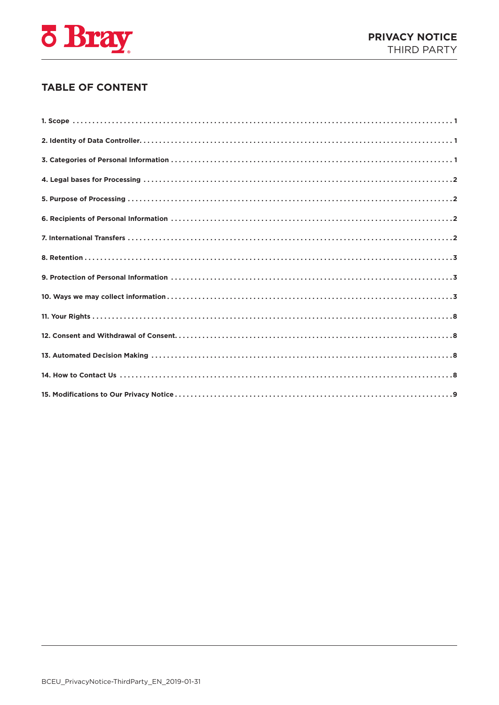

# **TABLE OF CONTENT**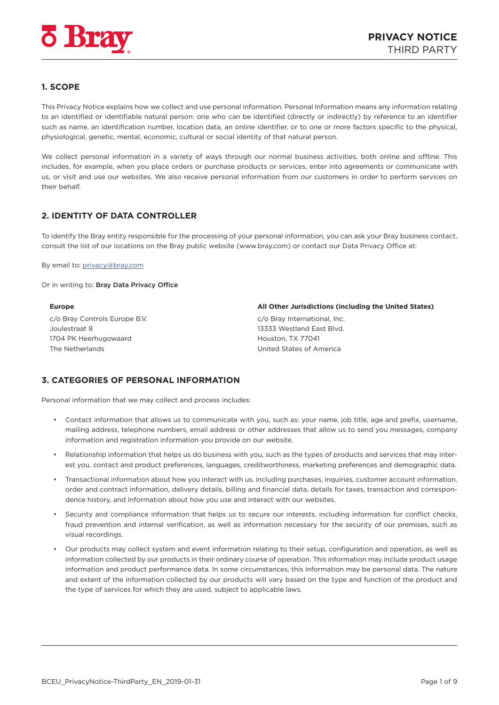<span id="page-2-0"></span>

# **1. SCOPE**

This Privacy Notice explains how we collect and use personal information. Personal Information means any information relating to an identified or identifiable natural person: one who can be identified (directly or indirectly) by reference to an identifier such as name, an identification number, location data, an online identifier, or to one or more factors specific to the physical, physiological, genetic, mental, economic, cultural or social identity of that natural person.

We collect personal information in a variety of ways through our normal business activities, both online and offline. This includes, for example, when you place orders or purchase products or services, enter into agreements or communicate with us, or visit and use our websites. We also receive personal information from our customers in order to perform services on their behalf.

# **2. IDENTITY OF DATA CONTROLLER**

To identify the Bray entity responsible for the processing of your personal information, you can ask your Bray business contact, consult the list of our locations on the Bray public website ([www.bray.com\)](http://www.bray.com) or contact our Data Privacy Office at:

By email to: [privacy@bray.com](mailto:privacy%40bray.com?subject=)

Or in writing to: Bray Data Privacy Office

c/o Bray Controls Europe B.V. Joulestraat 8 1704 PK Heerhugowaard The Netherlands

**Europe All Other Jurisdictions (including the United States)**

c/o Bray International, Inc. 13333 Westland East Blvd. Houston, TX 77041 United States of America

# **3. CATEGORIES OF PERSONAL INFORMATION**

Personal information that we may collect and process includes:

- Contact information that allows us to communicate with you, such as: your name, job title, age and prefix, username, mailing address, telephone numbers, email address or other addresses that allow us to send you messages, company information and registration information you provide on our website.
- Relationship information that helps us do business with you, such as the types of products and services that may interest you, contact and product preferences, languages, creditworthiness, marketing preferences and demographic data.
- Transactional information about how you interact with us, including purchases, inquiries, customer account information, order and contract information, delivery details, billing and financial data, details for taxes, transaction and correspondence history, and information about how you use and interact with our websites.
- Security and compliance information that helps us to secure our interests, including information for conflict checks, fraud prevention and internal verification, as well as information necessary for the security of our premises, such as visual recordings.
- Our products may collect system and event information relating to their setup, configuration and operation, as well as information collected by our products in their ordinary course of operation. This information may include product usage information and product performance data. In some circumstances, this information may be personal data. The nature and extent of the information collected by our products will vary based on the type and function of the product and the type of services for which they are used, subject to applicable laws.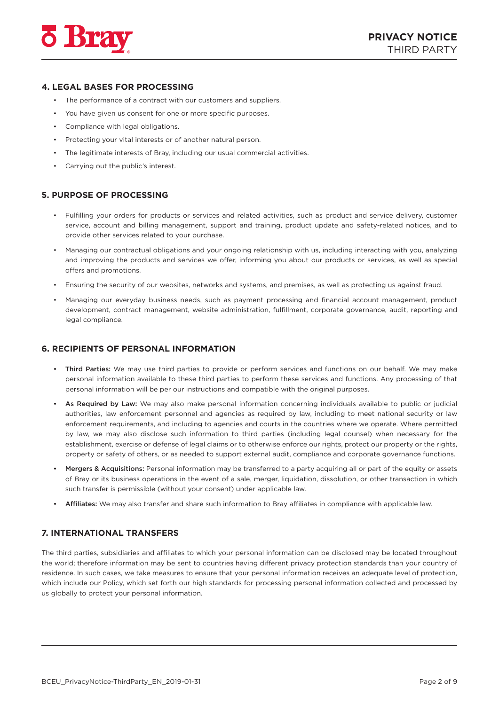<span id="page-3-0"></span>

### **4. LEGAL BASES FOR PROCESSING**

- The performance of a contract with our customers and suppliers.
- You have given us consent for one or more specific purposes.
- Compliance with legal obligations.
- Protecting your vital interests or of another natural person.
- The legitimate interests of Bray, including our usual commercial activities.
- Carrying out the public's interest.

#### **5. PURPOSE OF PROCESSING**

- Fulfilling your orders for products or services and related activities, such as product and service delivery, customer service, account and billing management, support and training, product update and safety-related notices, and to provide other services related to your purchase.
- Managing our contractual obligations and your ongoing relationship with us, including interacting with you, analyzing and improving the products and services we offer, informing you about our products or services, as well as special offers and promotions.
- Ensuring the security of our websites, networks and systems, and premises, as well as protecting us against fraud.
- Managing our everyday business needs, such as payment processing and financial account management, product development, contract management, website administration, fulfillment, corporate governance, audit, reporting and legal compliance.

#### **6. RECIPIENTS OF PERSONAL INFORMATION**

- Third Parties: We may use third parties to provide or perform services and functions on our behalf. We may make personal information available to these third parties to perform these services and functions. Any processing of that personal information will be per our instructions and compatible with the original purposes.
- As Required by Law: We may also make personal information concerning individuals available to public or judicial authorities, law enforcement personnel and agencies as required by law, including to meet national security or law enforcement requirements, and including to agencies and courts in the countries where we operate. Where permitted by law, we may also disclose such information to third parties (including legal counsel) when necessary for the establishment, exercise or defense of legal claims or to otherwise enforce our rights, protect our property or the rights, property or safety of others, or as needed to support external audit, compliance and corporate governance functions.
- Mergers & Acquisitions: Personal information may be transferred to a party acquiring all or part of the equity or assets of Bray or its business operations in the event of a sale, merger, liquidation, dissolution, or other transaction in which such transfer is permissible (without your consent) under applicable law.
- Affiliates: We may also transfer and share such information to Bray affiliates in compliance with applicable law.

#### **7. INTERNATIONAL TRANSFERS**

The third parties, subsidiaries and affiliates to which your personal information can be disclosed may be located throughout the world; therefore information may be sent to countries having different privacy protection standards than your country of residence. In such cases, we take measures to ensure that your personal information receives an adequate level of protection, which include our Policy, which set forth our high standards for processing personal information collected and processed by us globally to protect your personal information.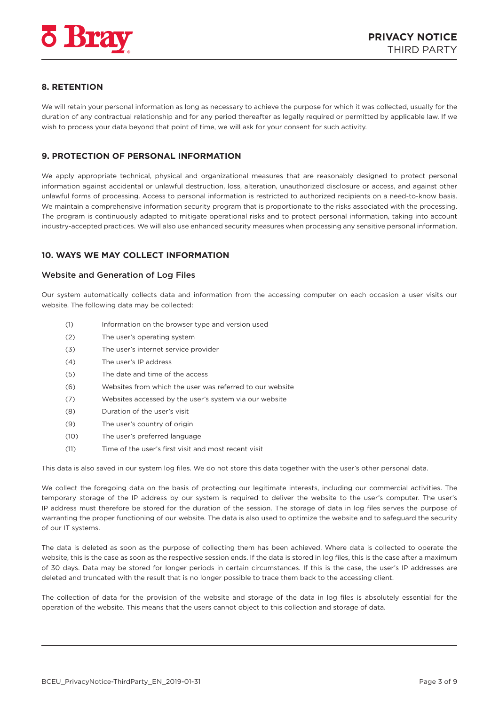<span id="page-4-0"></span>

# **8. RETENTION**

We will retain your personal information as long as necessary to achieve the purpose for which it was collected, usually for the duration of any contractual relationship and for any period thereafter as legally required or permitted by applicable law. If we wish to process your data beyond that point of time, we will ask for your consent for such activity.

# **9. PROTECTION OF PERSONAL INFORMATION**

We apply appropriate technical, physical and organizational measures that are reasonably designed to protect personal information against accidental or unlawful destruction, loss, alteration, unauthorized disclosure or access, and against other unlawful forms of processing. Access to personal information is restricted to authorized recipients on a need-to-know basis. We maintain a comprehensive information security program that is proportionate to the risks associated with the processing. The program is continuously adapted to mitigate operational risks and to protect personal information, taking into account industry-accepted practices. We will also use enhanced security measures when processing any sensitive personal information.

# **10. WAYS WE MAY COLLECT INFORMATION**

#### Website and Generation of Log Files

Our system automatically collects data and information from the accessing computer on each occasion a user visits our website. The following data may be collected:

- (1) Information on the browser type and version used
- (2) The user's operating system
- (3) The user's internet service provider
- (4) The user's IP address
- (5) The date and time of the access
- (6) Websites from which the user was referred to our website
- (7) Websites accessed by the user's system via our website
- (8) Duration of the user's visit
- (9) The user's country of origin
- (10) The user's preferred language
- (11) Time of the user's first visit and most recent visit

This data is also saved in our system log files. We do not store this data together with the user's other personal data.

We collect the foregoing data on the basis of protecting our legitimate interests, including our commercial activities. The temporary storage of the IP address by our system is required to deliver the website to the user's computer. The user's IP address must therefore be stored for the duration of the session. The storage of data in log files serves the purpose of warranting the proper functioning of our website. The data is also used to optimize the website and to safeguard the security of our IT systems.

The data is deleted as soon as the purpose of collecting them has been achieved. Where data is collected to operate the website, this is the case as soon as the respective session ends. If the data is stored in log files, this is the case after a maximum of 30 days. Data may be stored for longer periods in certain circumstances. If this is the case, the user's IP addresses are deleted and truncated with the result that is no longer possible to trace them back to the accessing client.

The collection of data for the provision of the website and storage of the data in log files is absolutely essential for the operation of the website. This means that the users cannot object to this collection and storage of data.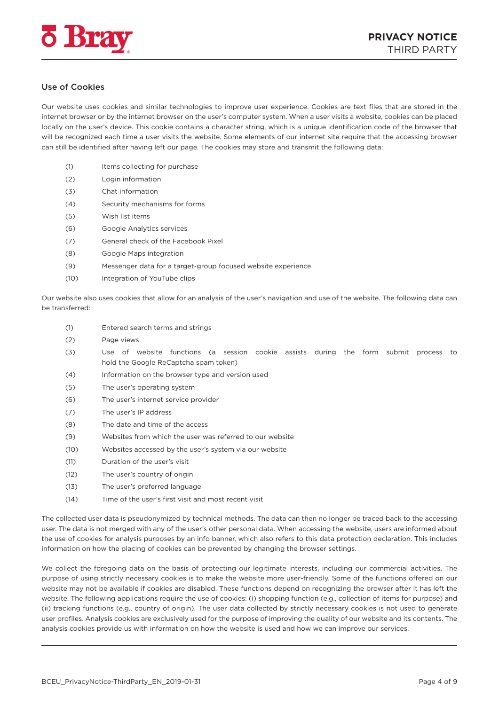

# Use of Cookies

Our website uses cookies and similar technologies to improve user experience. Cookies are text files that are stored in the internet browser or by the internet browser on the user's computer system. When a user visits a website, cookies can be placed locally on the user's device. This cookie contains a character string, which is a unique identification code of the browser that will be recognized each time a user visits the website. Some elements of our internet site require that the accessing browser can still be identified after having left our page. The cookies may store and transmit the following data:

- (1) Items collecting for purchase
- (2) Login information
- (3) Chat information
- (4) Security mechanisms for forms
- (5) Wish list items
- (6) Google Analytics services
- (7) General check of the Facebook Pixel
- (8) Google Maps integration
- (9) Messenger data for a target-group focused website experience
- (10) Integration of YouTube clips

Our website also uses cookies that allow for an analysis of the user's navigation and use of the website. The following data can be transferred:

- (1) Entered search terms and strings
- (2) Page views
- (3) Use of website functions (a session cookie assists during the form submit process to hold the Google ReCaptcha spam token)
- (4) Information on the browser type and version used
- (5) The user's operating system
- (6) The user's internet service provider
- (7) The user's IP address
- (8) The date and time of the access
- (9) Websites from which the user was referred to our website
- (10) Websites accessed by the user's system via our website
- (11) Duration of the user's visit
- (12) The user's country of origin
- (13) The user's preferred language
- (14) Time of the user's first visit and most recent visit

The collected user data is pseudonymized by technical methods. The data can then no longer be traced back to the accessing user. The data is not merged with any of the user's other personal data. When accessing the website, users are informed about the use of cookies for analysis purposes by an info banner, which also refers to this data protection declaration. This includes information on how the placing of cookies can be prevented by changing the browser settings.

We collect the foregoing data on the basis of protecting our legitimate interests, including our commercial activities. The purpose of using strictly necessary cookies is to make the website more user-friendly. Some of the functions offered on our website may not be available if cookies are disabled. These functions depend on recognizing the browser after it has left the website. The following applications require the use of cookies: (i) shopping function (e.g., collection of items for purpose) and (ii) tracking functions (e.g., country of origin). The user data collected by strictly necessary cookies is not used to generate user profiles. Analysis cookies are exclusively used for the purpose of improving the quality of our website and its contents. The analysis cookies provide us with information on how the website is used and how we can improve our services.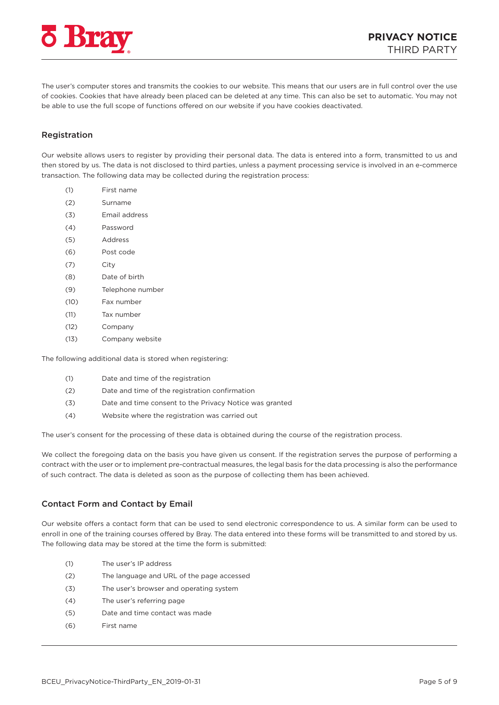

The user's computer stores and transmits the cookies to our website. This means that our users are in full control over the use of cookies. Cookies that have already been placed can be deleted at any time. This can also be set to automatic. You may not be able to use the full scope of functions offered on our website if you have cookies deactivated.

# Registration

Our website allows users to register by providing their personal data. The data is entered into a form, transmitted to us and then stored by us. The data is not disclosed to third parties, unless a payment processing service is involved in an e-commerce transaction. The following data may be collected during the registration process:

- (1) First name
- (2) Surname
- (3) Email address
- (4) Password
- (5) Address
- (6) Post code
- (7) City
- (8) Date of birth
- (9) Telephone number
- (10) Fax number
- (11) Tax number
- (12) Company
- (13) Company website

The following additional data is stored when registering:

- (1) Date and time of the registration
- (2) Date and time of the registration confirmation
- (3) Date and time consent to the Privacy Notice was granted
- (4) Website where the registration was carried out

The user's consent for the processing of these data is obtained during the course of the registration process.

We collect the foregoing data on the basis you have given us consent. If the registration serves the purpose of performing a contract with the user or to implement pre-contractual measures, the legal basis for the data processing is also the performance of such contract. The data is deleted as soon as the purpose of collecting them has been achieved.

#### Contact Form and Contact by Email

Our website offers a contact form that can be used to send electronic correspondence to us. A similar form can be used to enroll in one of the training courses offered by Bray. The data entered into these forms will be transmitted to and stored by us. The following data may be stored at the time the form is submitted:

- (1) The user's IP address
- (2) The language and URL of the page accessed
- (3) The user's browser and operating system
- (4) The user's referring page
- (5) Date and time contact was made
- (6) First name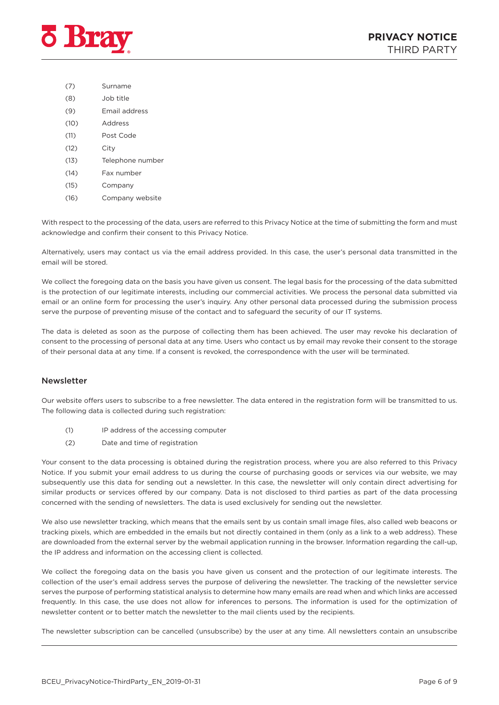

- (7) Surname
- (8) Job title
- (9) Email address
- (10) Address
- (11) Post Code
- (12) City
- (13) Telephone number
- (14) Fax number
- (15) Company
- (16) Company website

With respect to the processing of the data, users are referred to this Privacy Notice at the time of submitting the form and must acknowledge and confirm their consent to this Privacy Notice.

Alternatively, users may contact us via the email address provided. In this case, the user's personal data transmitted in the email will be stored.

We collect the foregoing data on the basis you have given us consent. The legal basis for the processing of the data submitted is the protection of our legitimate interests, including our commercial activities. We process the personal data submitted via email or an online form for processing the user's inquiry. Any other personal data processed during the submission process serve the purpose of preventing misuse of the contact and to safeguard the security of our IT systems.

The data is deleted as soon as the purpose of collecting them has been achieved. The user may revoke his declaration of consent to the processing of personal data at any time. Users who contact us by email may revoke their consent to the storage of their personal data at any time. If a consent is revoked, the correspondence with the user will be terminated.

# Newsletter

Our website offers users to subscribe to a free newsletter. The data entered in the registration form will be transmitted to us. The following data is collected during such registration:

- (1) IP address of the accessing computer
- (2) Date and time of registration

Your consent to the data processing is obtained during the registration process, where you are also referred to this Privacy Notice. If you submit your email address to us during the course of purchasing goods or services via our website, we may subsequently use this data for sending out a newsletter. In this case, the newsletter will only contain direct advertising for similar products or services offered by our company. Data is not disclosed to third parties as part of the data processing concerned with the sending of newsletters. The data is used exclusively for sending out the newsletter.

We also use newsletter tracking, which means that the emails sent by us contain small image files, also called web beacons or tracking pixels, which are embedded in the emails but not directly contained in them (only as a link to a web address). These are downloaded from the external server by the webmail application running in the browser. Information regarding the call-up, the IP address and information on the accessing client is collected.

We collect the foregoing data on the basis you have given us consent and the protection of our legitimate interests. The collection of the user's email address serves the purpose of delivering the newsletter. The tracking of the newsletter service serves the purpose of performing statistical analysis to determine how many emails are read when and which links are accessed frequently. In this case, the use does not allow for inferences to persons. The information is used for the optimization of newsletter content or to better match the newsletter to the mail clients used by the recipients.

The newsletter subscription can be cancelled (unsubscribe) by the user at any time. All newsletters contain an unsubscribe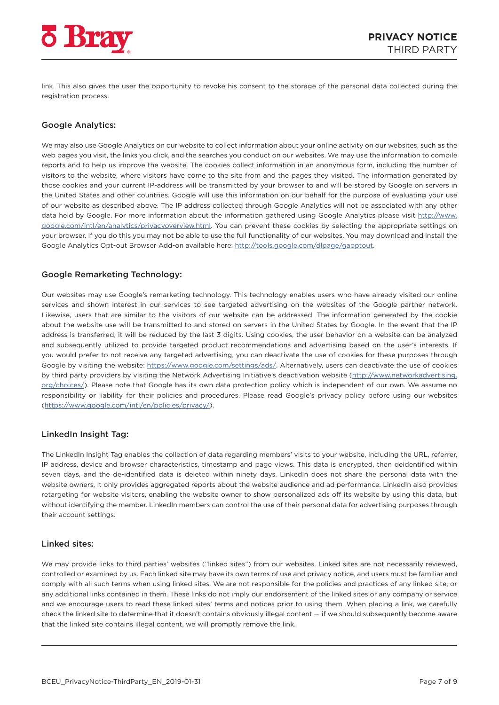

link. This also gives the user the opportunity to revoke his consent to the storage of the personal data collected during the registration process.

# Google Analytics:

We may also use Google Analytics on our website to collect information about your online activity on our websites, such as the web pages you visit, the links you click, and the searches you conduct on our websites. We may use the information to compile reports and to help us improve the website. The cookies collect information in an anonymous form, including the number of visitors to the website, where visitors have come to the site from and the pages they visited. The information generated by those cookies and your current IP-address will be transmitted by your browser to and will be stored by Google on servers in the United States and other countries. Google will use this information on our behalf for the purpose of evaluating your use of our website as described above. The IP address collected through Google Analytics will not be associated with any other data held by Google. For more information about the information gathered using Google Analytics please visit [http://www.](http://www.google.com/intl/en/analytics/privacyoverview.html) [google.com/intl/en/analytics/privacyoverview.html.](http://www.google.com/intl/en/analytics/privacyoverview.html) You can prevent these cookies by selecting the appropriate settings on your browser. If you do this you may not be able to use the full functionality of our websites. You may download and install the Google Analytics Opt-out Browser Add-on available here:<http://tools.google.com/dlpage/gaoptout>.

#### Google Remarketing Technology:

Our websites may use Google's remarketing technology. This technology enables users who have already visited our online services and shown interest in our services to see targeted advertising on the websites of the Google partner network. Likewise, users that are similar to the visitors of our website can be addressed. The information generated by the cookie about the website use will be transmitted to and stored on servers in the United States by Google. In the event that the IP address is transferred, it will be reduced by the last 3 digits. Using cookies, the user behavior on a website can be analyzed and subsequently utilized to provide targeted product recommendations and advertising based on the user's interests. If you would prefer to not receive any targeted advertising, you can deactivate the use of cookies for these purposes through Google by visiting the website: <https://www.google.com/settings/ads/>. Alternatively, users can deactivate the use of cookies by third party providers by visiting the Network Advertising Initiative's deactivation website [\(http://www.networkadvertising.](http://www.networkadvertising.org/choices/) [org/choices/\)](http://www.networkadvertising.org/choices/). Please note that Google has its own data protection policy which is independent of our own. We assume no responsibility or liability for their policies and procedures. Please read Google's privacy policy before using our websites [\(https://www.google.com/intl/en/policies/privacy/](https://www.google.com/intl/en/policies/privacy/)).

# LinkedIn Insight Tag:

The LinkedIn Insight Tag enables the collection of data regarding members' visits to your website, including the URL, referrer, IP address, device and browser characteristics, timestamp and page views. This data is encrypted, then deidentified within seven days, and the de-identified data is deleted within ninety days. LinkedIn does not share the personal data with the website owners, it only provides aggregated reports about the website audience and ad performance. LinkedIn also provides retargeting for website visitors, enabling the website owner to show personalized ads off its website by using this data, but without identifying the member. LinkedIn members can control the use of their personal data for advertising purposes through their account settings.

#### Linked sites:

We may provide links to third parties' websites ("linked sites") from our websites. Linked sites are not necessarily reviewed, controlled or examined by us. Each linked site may have its own terms of use and privacy notice, and users must be familiar and comply with all such terms when using linked sites. We are not responsible for the policies and practices of any linked site, or any additional links contained in them. These links do not imply our endorsement of the linked sites or any company or service and we encourage users to read these linked sites' terms and notices prior to using them. When placing a link, we carefully check the linked site to determine that it doesn't contains obviously illegal content — if we should subsequently become aware that the linked site contains illegal content, we will promptly remove the link.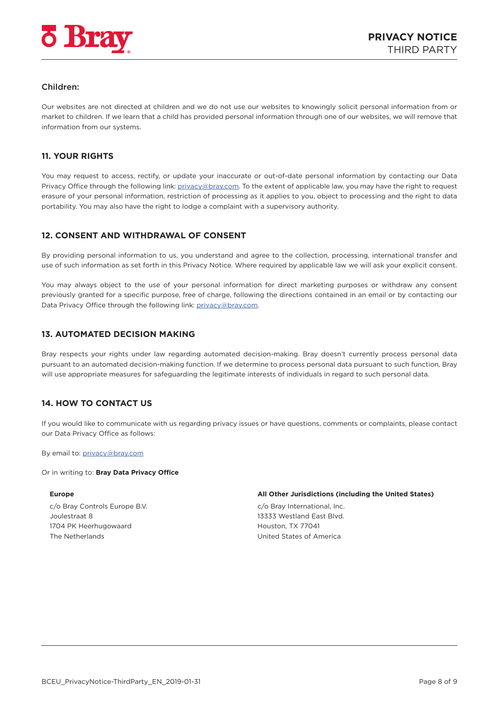<span id="page-9-0"></span>

# Children:

Our websites are not directed at children and we do not use our websites to knowingly solicit personal information from or market to children. If we learn that a child has provided personal information through one of our websites, we will remove that information from our systems.

# **11. YOUR RIGHTS**

You may request to access, rectify, or update your inaccurate or out-of-date personal information by contacting our Data Privacy Office through the following link: [privacy@bray.com.](mailto:privacy%40bray.com?subject=) To the extent of applicable law, you may have the right to request erasure of your personal information, restriction of processing as it applies to you, object to processing and the right to data portability. You may also have the right to lodge a complaint with a supervisory authority.

# **12. CONSENT AND WITHDRAWAL OF CONSENT**

By providing personal information to us, you understand and agree to the collection, processing, international transfer and use of such information as set forth in this Privacy Notice. Where required by applicable law we will ask your explicit consent.

You may always object to the use of your personal information for direct marketing purposes or withdraw any consent previously granted for a specific purpose, free of charge, following the directions contained in an email or by contacting our Data Privacy Office through the following link: [privacy@bray.com.](mailto:privacy%40bray.com?subject=)

#### **13. AUTOMATED DECISION MAKING**

Bray respects your rights under law regarding automated decision-making. Bray doesn't currently process personal data pursuant to an automated decision-making function. If we determine to process personal data pursuant to such function, Bray will use appropriate measures for safeguarding the legitimate interests of individuals in regard to such personal data.

# **14. HOW TO CONTACT US**

If you would like to communicate with us regarding privacy issues or have questions, comments or complaints, please contact our Data Privacy Office as follows:

By email to: [privacy@bray.com](mailto:privacy%40bray.com?subject=)

#### Or in writing to: **Bray Data Privacy Office**

c/o Bray Controls Europe B.V. Joulestraat 8 1704 PK Heerhugowaard The Netherlands

#### **Europe All Other Jurisdictions (including the United States)**

c/o Bray International, Inc. 13333 Westland East Blvd. Houston, TX 77041 United States of America